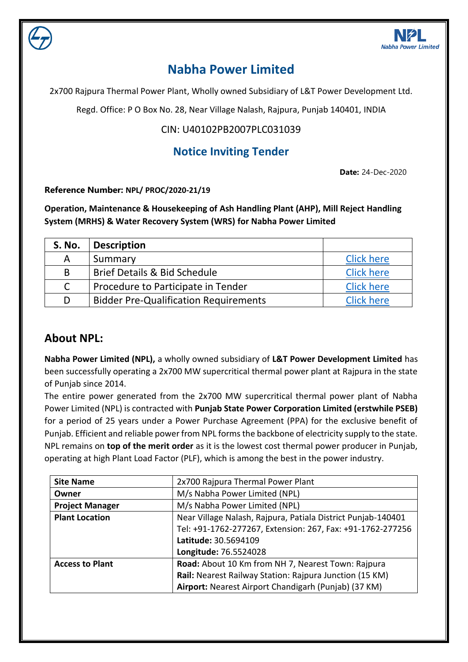

# **Nabha Power Limited**

2x700 Rajpura Thermal Power Plant, Wholly owned Subsidiary of L&T Power Development Ltd.

Regd. Office: P O Box No. 28, Near Village Nalash, Rajpura, Punjab 140401, INDIA

### CIN: U40102PB2007PLC031039

### **Notice Inviting Tender**

**Date:** 24-Dec-2020

**Reference Number: NPL/ PROC/2020-21/19**

**Operation, Maintenance & Housekeeping of Ash Handling Plant (AHP), Mill Reject Handling System (MRHS) & Water Recovery System (WRS) for Nabha Power Limited**

| <b>S. No.</b> | <b>Description</b>                           |                   |
|---------------|----------------------------------------------|-------------------|
| Α             | Summary                                      | <b>Click here</b> |
| B             | <b>Brief Details &amp; Bid Schedule</b>      | <b>Click here</b> |
| $\mathsf{C}$  | Procedure to Participate in Tender           | <b>Click here</b> |
| D             | <b>Bidder Pre-Qualification Requirements</b> | <b>Click here</b> |

### **About NPL:**

**Nabha Power Limited (NPL),** a wholly owned subsidiary of **L&T Power Development Limited** has been successfully operating a 2x700 MW supercritical thermal power plant at Rajpura in the state of Punjab since 2014.

The entire power generated from the 2x700 MW supercritical thermal power plant of Nabha Power Limited (NPL) is contracted with **Punjab State Power Corporation Limited (erstwhile PSEB)** for a period of 25 years under a Power Purchase Agreement (PPA) for the exclusive benefit of Punjab. Efficient and reliable power from NPL forms the backbone of electricity supply to the state. NPL remains on **top of the merit order** as it is the lowest cost thermal power producer in Punjab, operating at high Plant Load Factor (PLF), which is among the best in the power industry.

| <b>Site Name</b>       | 2x700 Rajpura Thermal Power Plant                            |  |
|------------------------|--------------------------------------------------------------|--|
| Owner                  | M/s Nabha Power Limited (NPL)                                |  |
| <b>Project Manager</b> | M/s Nabha Power Limited (NPL)                                |  |
| <b>Plant Location</b>  | Near Village Nalash, Rajpura, Patiala District Punjab-140401 |  |
|                        | Tel: +91-1762-277267, Extension: 267, Fax: +91-1762-277256   |  |
|                        | Latitude: 30.5694109                                         |  |
|                        | Longitude: 76.5524028                                        |  |
| <b>Access to Plant</b> | Road: About 10 Km from NH 7, Nearest Town: Rajpura           |  |
|                        | Rail: Nearest Railway Station: Rajpura Junction (15 KM)      |  |
|                        | Airport: Nearest Airport Chandigarh (Punjab) (37 KM)         |  |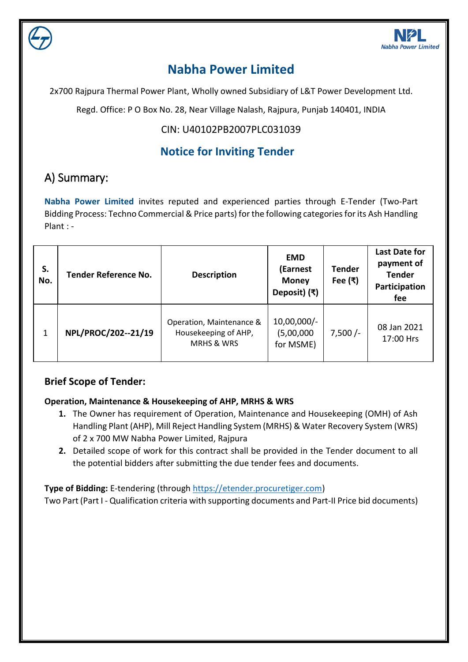

# **Nabha Power Limited**

2x700 Rajpura Thermal Power Plant, Wholly owned Subsidiary of L&T Power Development Ltd.

Regd. Office: P O Box No. 28, Near Village Nalash, Rajpura, Punjab 140401, INDIA

### CIN: U40102PB2007PLC031039

## **Notice for Inviting Tender**

# <span id="page-1-0"></span>A) Summary:

**Nabha Power Limited** invites reputed and experienced parties through E-Tender (Two-Part Bidding Process: Techno Commercial & Price parts) for the following categories for its Ash Handling Plant : -

| S.<br>No. | <b>Tender Reference No.</b> | <b>Description</b>                                                        | <b>EMD</b><br>(Earnest<br><b>Money</b><br>Deposit) (₹) | <b>Tender</b><br>Fee $(\bar{x})$ | <b>Last Date for</b><br>payment of<br><b>Tender</b><br>Participation<br>fee |
|-----------|-----------------------------|---------------------------------------------------------------------------|--------------------------------------------------------|----------------------------------|-----------------------------------------------------------------------------|
| 1         | NPL/PROC/202--21/19         | Operation, Maintenance &<br>Housekeeping of AHP,<br><b>MRHS &amp; WRS</b> | $10,00,000/-$<br>(5,00,000)<br>for MSME)               | $7,500/-$                        | 08 Jan 2021<br>17:00 Hrs                                                    |

### **Brief Scope of Tender:**

#### **Operation, Maintenance & Housekeeping of AHP, MRHS & WRS**

- **1.** The Owner has requirement of Operation, Maintenance and Housekeeping (OMH) of Ash Handling Plant (AHP), Mill Reject Handling System (MRHS) & Water Recovery System (WRS) of 2 x 700 MW Nabha Power Limited, Rajpura
- **2.** Detailed scope of work for this contract shall be provided in the Tender document to all the potential bidders after submitting the due tender fees and documents.

**Type of Bidding:** E-tendering (through [https://etender.procuretiger.com\)](https://etender.procuretiger.com/)

Two Part (Part I - Qualification criteria with supporting documents and Part-II Price bid documents)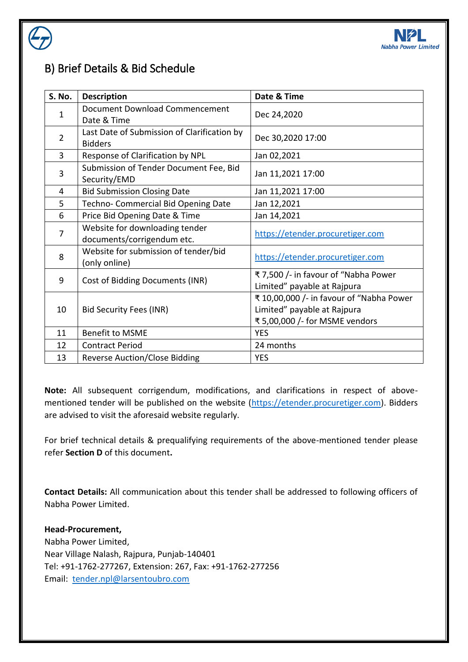

## B) Brief Details & Bid Schedule

| S. No.         | <b>Description</b>                                            | Date & Time                                                                                               |
|----------------|---------------------------------------------------------------|-----------------------------------------------------------------------------------------------------------|
| $\mathbf{1}$   | Document Download Commencement<br>Date & Time                 | Dec 24,2020                                                                                               |
| $\overline{2}$ | Last Date of Submission of Clarification by<br><b>Bidders</b> | Dec 30,2020 17:00                                                                                         |
| 3              | Response of Clarification by NPL                              | Jan 02,2021                                                                                               |
| 3              | Submission of Tender Document Fee, Bid<br>Security/EMD        | Jan 11,2021 17:00                                                                                         |
| 4              | <b>Bid Submission Closing Date</b>                            | Jan 11,2021 17:00                                                                                         |
| 5              | Techno- Commercial Bid Opening Date                           | Jan 12,2021                                                                                               |
| 6              | Price Bid Opening Date & Time                                 | Jan 14,2021                                                                                               |
| $\overline{7}$ | Website for downloading tender<br>documents/corrigendum etc.  | https://etender.procuretiger.com                                                                          |
| 8              | Website for submission of tender/bid<br>(only online)         | https://etender.procuretiger.com                                                                          |
| 9              | Cost of Bidding Documents (INR)                               | ₹7,500 /- in favour of "Nabha Power<br>Limited" payable at Rajpura                                        |
| 10             | <b>Bid Security Fees (INR)</b>                                | ₹ 10,00,000 /- in favour of "Nabha Power<br>Limited" payable at Rajpura<br>₹ 5,00,000 /- for MSME vendors |
| 11             | <b>Benefit to MSME</b>                                        | <b>YES</b>                                                                                                |
| 12             | <b>Contract Period</b>                                        | 24 months                                                                                                 |
| 13             | <b>Reverse Auction/Close Bidding</b>                          | <b>YES</b>                                                                                                |

**Note:** All subsequent corrigendum, modifications, and clarifications in respect of above-mentioned tender will be published on the website [\(https://etender.procuretiger.com\)](https://etender.procuretiger.com/). Bidders are advised to visit the aforesaid website regularly.

For brief technical details & prequalifying requirements of the above-mentioned tender please refer **Section D** of this document**.**

**Contact Details:** All communication about this tender shall be addressed to following officers of Nabha Power Limited.

#### **Head-Procurement,**

Nabha Power Limited, Near Village Nalash, Rajpura, Punjab-140401 Tel: +91-1762-277267, Extension: 267, Fax: +91-1762-277256 Email: [tender.npl@larsentoubro.com](mailto:tender.npl@larsentoubro.com)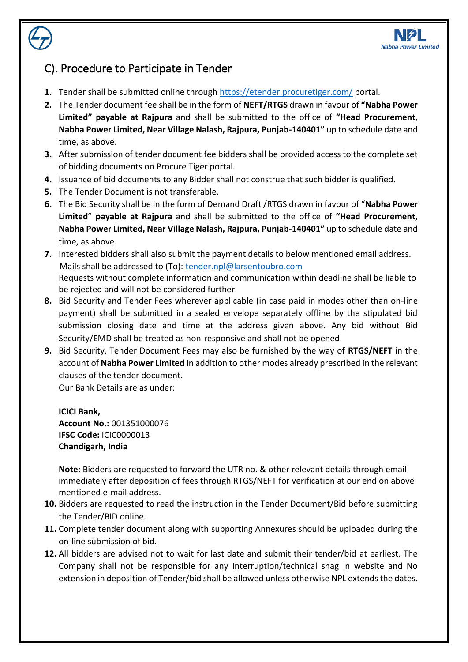

## <span id="page-3-0"></span>C). Procedure to Participate in Tender

- **1.** Tender shall be submitted online through<https://etender.procuretiger.com/> portal.
- **2.** The Tender document fee shall be in the form of **NEFT/RTGS** drawn in favour of **"Nabha Power Limited" payable at Rajpura** and shall be submitted to the office of **"Head Procurement, Nabha Power Limited, Near Village Nalash, Rajpura, Punjab-140401"** up to schedule date and time, as above.
- **3.** After submission of tender document fee bidders shall be provided access to the complete set of bidding documents on Procure Tiger portal.
- **4.** Issuance of bid documents to any Bidder shall not construe that such bidder is qualified.
- **5.** The Tender Document is not transferable.
- **6.** The Bid Security shall be in the form of Demand Draft /RTGS drawn in favour of "**Nabha Power Limited**" **payable at Rajpura** and shall be submitted to the office of **"Head Procurement, Nabha Power Limited, Near Village Nalash, Rajpura, Punjab-140401"** up to schedule date and time, as above.
- **7.** Interested bidders shall also submit the payment details to below mentioned email address. Mails shall be addressed to (To): [tender.npl@larsentoubro.com](mailto:tender.npl@larsentoubro.com) Requests without complete information and communication within deadline shall be liable to be rejected and will not be considered further.
- **8.** Bid Security and Tender Fees wherever applicable (in case paid in modes other than on-line payment) shall be submitted in a sealed envelope separately offline by the stipulated bid submission closing date and time at the address given above. Any bid without Bid Security/EMD shall be treated as non-responsive and shall not be opened.
- **9.** Bid Security, Tender Document Fees may also be furnished by the way of **RTGS/NEFT** in the account of **Nabha Power Limited** in addition to other modes already prescribed in the relevant clauses of the tender document.

Our Bank Details are as under:

**ICICI Bank, Account No.:** 001351000076 **IFSC Code:** ICIC0000013 **Chandigarh, India**

**Note:** Bidders are requested to forward the UTR no. & other relevant details through email immediately after deposition of fees through RTGS/NEFT for verification at our end on above mentioned e-mail address.

- **10.** Bidders are requested to read the instruction in the Tender Document/Bid before submitting the Tender/BID online.
- **11.** Complete tender document along with supporting Annexures should be uploaded during the on-line submission of bid.
- **12.** All bidders are advised not to wait for last date and submit their tender/bid at earliest. The Company shall not be responsible for any interruption/technical snag in website and No extension in deposition of Tender/bid shall be allowed unless otherwise NPL extends the dates.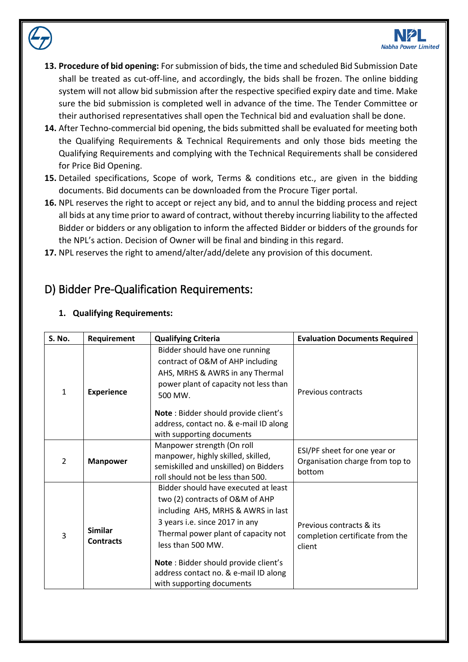

- **13. Procedure of bid opening:** For submission of bids, the time and scheduled Bid Submission Date shall be treated as cut-off-line, and accordingly, the bids shall be frozen. The online bidding system will not allow bid submission after the respective specified expiry date and time. Make sure the bid submission is completed well in advance of the time. The Tender Committee or their authorised representatives shall open the Technical bid and evaluation shall be done.
- **14.** After Techno-commercial bid opening, the bids submitted shall be evaluated for meeting both the Qualifying Requirements & Technical Requirements and only those bids meeting the Qualifying Requirements and complying with the Technical Requirements shall be considered for Price Bid Opening.
- **15.** Detailed specifications, Scope of work, Terms & conditions etc., are given in the bidding documents. Bid documents can be downloaded from the Procure Tiger portal.
- **16.** NPL reserves the right to accept or reject any bid, and to annul the bidding process and reject all bids at any time prior to award of contract, without thereby incurring liability to the affected Bidder or bidders or any obligation to inform the affected Bidder or bidders of the grounds for the NPL's action. Decision of Owner will be final and binding in this regard.
- **17.** NPL reserves the right to amend/alter/add/delete any provision of this document.

### <span id="page-4-0"></span>D) Bidder Pre-Qualification Requirements:

| <b>S. No.</b> | Requirement                        | <b>Qualifying Criteria</b>                                                                                                                                                                                                                                                                                                | <b>Evaluation Documents Required</b>                                      |
|---------------|------------------------------------|---------------------------------------------------------------------------------------------------------------------------------------------------------------------------------------------------------------------------------------------------------------------------------------------------------------------------|---------------------------------------------------------------------------|
| $\mathbf{1}$  | <b>Experience</b>                  | Bidder should have one running<br>contract of O&M of AHP including<br>AHS, MRHS & AWRS in any Thermal<br>power plant of capacity not less than<br>500 MW.                                                                                                                                                                 | Previous contracts                                                        |
|               |                                    | Note: Bidder should provide client's<br>address, contact no. & e-mail ID along<br>with supporting documents                                                                                                                                                                                                               |                                                                           |
| 2             | <b>Manpower</b>                    | Manpower strength (On roll<br>manpower, highly skilled, skilled,<br>semiskilled and unskilled) on Bidders<br>roll should not be less than 500.                                                                                                                                                                            | ESI/PF sheet for one year or<br>Organisation charge from top to<br>bottom |
| 3             | <b>Similar</b><br><b>Contracts</b> | Bidder should have executed at least<br>two (2) contracts of O&M of AHP<br>including AHS, MRHS & AWRS in last<br>3 years i.e. since 2017 in any<br>Thermal power plant of capacity not<br>less than 500 MW.<br>Note: Bidder should provide client's<br>address contact no. & e-mail ID along<br>with supporting documents | Previous contracts & its<br>completion certificate from the<br>client     |

#### **1. Qualifying Requirements:**